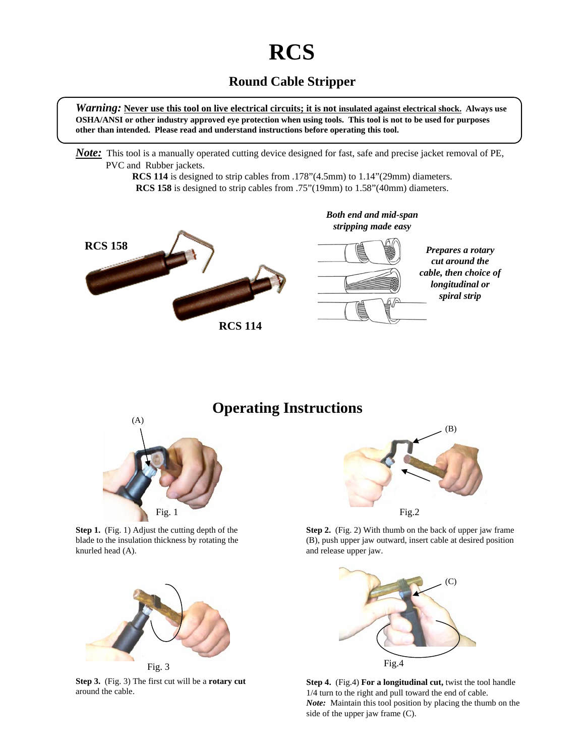## **RCS**

## **Round Cable Stripper**

*Warning:* **Never use this tool on live electrical circuits; it is not insulated against electrical shock. Always use OSHA/ANSI or other industry approved eye protection when using tools. This tool is not to be used for purposes other than intended. Please read and understand instructions before operating this tool.**

*Note:* This tool is a manually operated cutting device designed for fast, safe and precise jacket removal of PE, PVC and Rubber jackets.

> **RCS 114** is designed to strip cables from .178"(4.5mm) to 1.14"(29mm) diameters. **RCS 158** is designed to strip cables from .75"(19mm) to 1.58"(40mm) diameters.



**Operating Instructions**



**Step 1.** (Fig. 1) Adjust the cutting depth of the blade to the insulation thickness by rotating the knurled head (A).



**Step 3.** (Fig. 3) The first cut will be a **rotary cut** around the cable.



**Step 2.** (Fig. 2) With thumb on the back of upper jaw frame (B), push upper jaw outward, insert cable at desired position and release upper jaw.



**Step 4.** (Fig.4) **For a longitudinal cut,** twist the tool handle 1/4 turn to the right and pull toward the end of cable. *Note:* Maintain this tool position by placing the thumb on the side of the upper jaw frame (C).